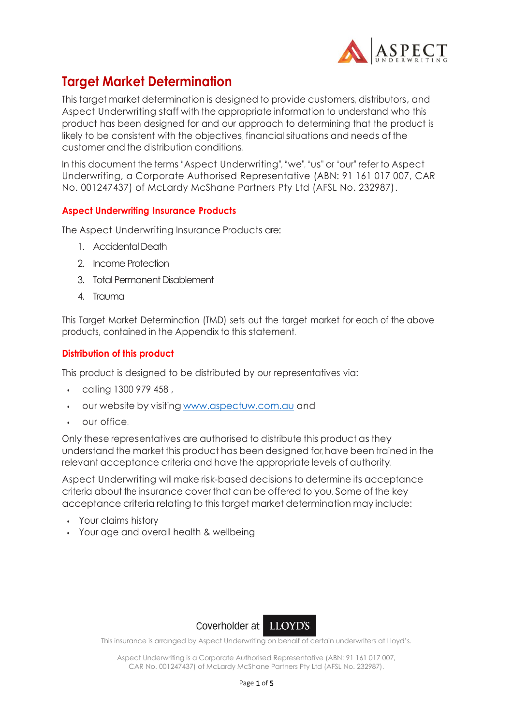

## **Target Market Determination**

This target market determination is designed to provide customers, distributors, and Aspect Underwriting staff with the appropriate information to understand who this product has been designed for and our approach to determining that the product is likely to be consistent with the objectives, financial situations and needs of the customer and the distribution conditions.

In this document the terms "Aspect Underwriting", "we", "us" or "our" refer to Aspect Underwriting, a Corporate Authorised Representative (ABN: 91 161 017 007, CAR No. 001247437) of McLardy McShane Partners Pty Ltd (AFSL No. 232987).

### **Aspect Underwriting Insurance Products**

The Aspect Underwriting Insurance Products are:

- 1. Accidental Death
- 2. Income Protection
- 3. Total Permanent Disablement
- 4. Trauma

This Target Market Determination (TMD) sets out the target market for each of the above products, contained in the Appendix to this statement.

### **Distribution of this product**

This product is designed to be distributed by our representatives via:

- calling 1300 979 458 ,
- our website by visiting [www.aspectuw.com.au](http://www.aspectuw.com.au/) and
- our office.

Only these representatives are authorised to distribute this product as they understand the market this product has been designed for, have been trained in the relevant acceptance criteria and have the appropriate levels of authority.

Aspect Underwriting will make risk-based decisions to determine its acceptance criteria about the insurance cover that can be offered to you. Some of the key acceptance criteria relating to this target market determination may include:

- Your claims history
- Your age and overall health & wellbeing



This insurance is arranged by Aspect Underwriting on behalf of certain underwriters at Lloyd's.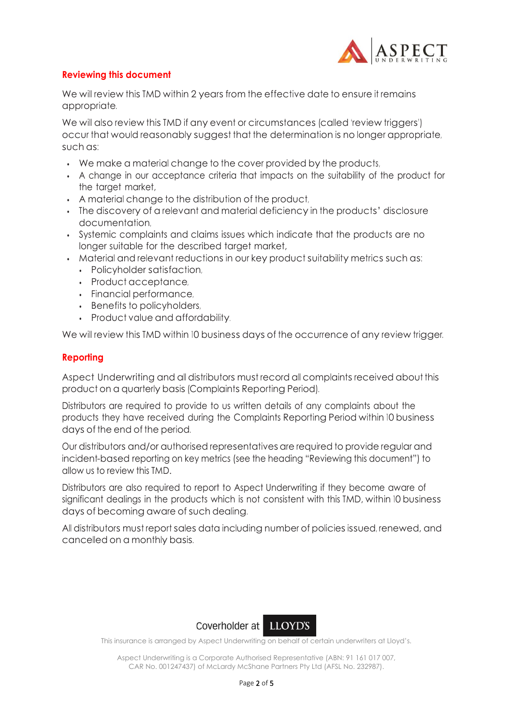

### **Reviewing this document**

We will review this TMD within 2 years from the effective date to ensure it remains appropriate.

We will also review this TMD if any event or circumstances (called 'review triggers') occur that would reasonably suggest that the determination is no longer appropriate, such as:

- We make a material change to the cover provided by the products,
- A change in our acceptance criteria that impacts on the suitability of the product for the target market,
- A material change to the distribution of the product,
- The discovery of a relevant and material deficiency in the products' disclosure documentation,
- Systemic complaints and claims issues which indicate that the products are no longer suitable for the described target market,
- Material and relevant reductions in our key product suitability metrics such as:
	- Policyholder satisfaction,
	- Product acceptance,
	- Financial performance,
	- Benefits to policyholders,
	- Product value and affordability.

We will review this TMD within 10 business days of the occurrence of any review trigger.

### **Reporting**

Aspect Underwriting and all distributors must record all complaints received about this product on a quarterly basis(Complaints Reporting Period).

Distributors are required to provide to us written details of any complaints about the products they have received during the Complaints Reporting Period within 10 business days of the end of the period.

Our distributors and/or authorised representatives are required to provide regular and incident-based reporting on key metrics (see the heading "Reviewing this document") to allow us to review this TMD.

Distributors are also required to report to Aspect Underwriting if they become aware of significant dealings in the products which is not consistent with this TMD, within 10 business days of becoming aware of such dealing.

All distributors must report sales data including number of policiesissued, renewed, and cancelled on a monthly basis.



This insurance is arranged by Aspect Underwriting on behalf of certain underwriters at Lloyd's.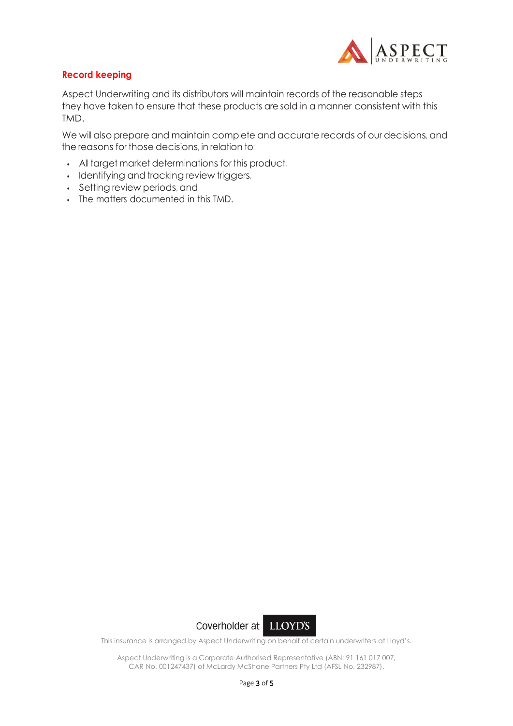

### **Record keeping**

Aspect Underwriting and its distributors will maintain records of the reasonable steps they have taken to ensure that these products are sold in a manner consistent with this TMD.

We will also prepare and maintain complete and accurate records of our decisions, and the reasons for those decisions, in relation to:

- All target market determinations for this product,
- Identifying and tracking review triggers,
- Setting review periods, and
- The matters documented in this TMD.



This insurance is arranged by Aspect Underwriting on behalf of certain underwriters at Lloyd's.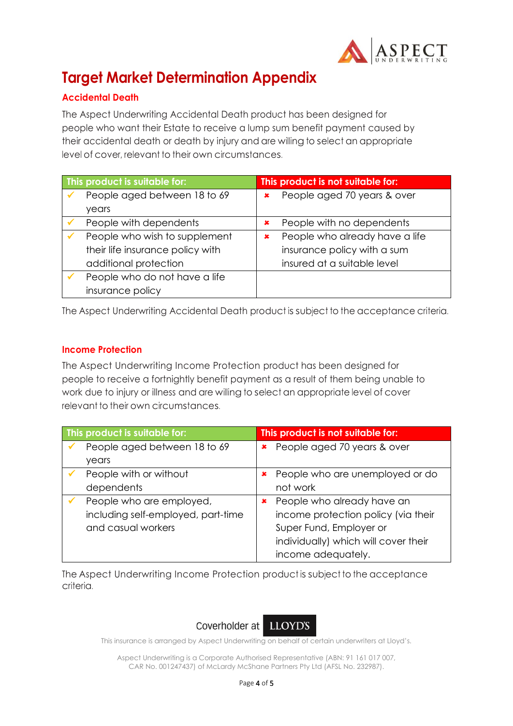

# **Target Market Determination Appendix**

### **Accidental Death**

The Aspect Underwriting Accidental Death product has been designed for people who want their Estate to receive a lump sum benefit payment caused by their accidental death or death by injury and are willing to select an appropriate level of cover, relevant to their own circumstances.

| This product is suitable for: |                                  | This product is not suitable for: |                                |
|-------------------------------|----------------------------------|-----------------------------------|--------------------------------|
|                               | People aged between 18 to 69     | $\pmb{\times}$                    | People aged 70 years & over    |
|                               | years                            |                                   |                                |
|                               | People with dependents           | ×                                 | People with no dependents      |
|                               | People who wish to supplement    | ×                                 | People who already have a life |
|                               | their life insurance policy with |                                   | insurance policy with a sum    |
|                               | additional protection            |                                   | insured at a suitable level    |
|                               | People who do not have a life    |                                   |                                |
|                               | insurance policy                 |                                   |                                |

The Aspect Underwriting Accidental Death product is subject to the acceptance criteria.

### **Income Protection**

The Aspect Underwriting Income Protection product has been designed for people to receive a fortnightly benefit payment as a result of them being unable to work due to injury or illness and are willing to select an appropriate level of cover relevant to their own circumstances.

| This product is suitable for: |                                    | This product is not suitable for: |                                      |
|-------------------------------|------------------------------------|-----------------------------------|--------------------------------------|
|                               | People aged between 18 to 69       |                                   | <b>*</b> People aged 70 years & over |
|                               | years                              |                                   |                                      |
|                               | People with or without             |                                   | People who are unemployed or do      |
|                               | dependents                         |                                   | not work                             |
|                               | People who are employed,           | ×                                 | People who already have an           |
|                               | including self-employed, part-time |                                   | income protection policy (via their  |
|                               | and casual workers                 |                                   | Super Fund, Employer or              |
|                               |                                    |                                   | individually) which will cover their |
|                               |                                    |                                   | income adequately.                   |

The Aspect Underwriting Income Protection product is subject to the acceptance criteria.



This insurance is arranged by Aspect Underwriting on behalf of certain underwriters at Lloyd's.